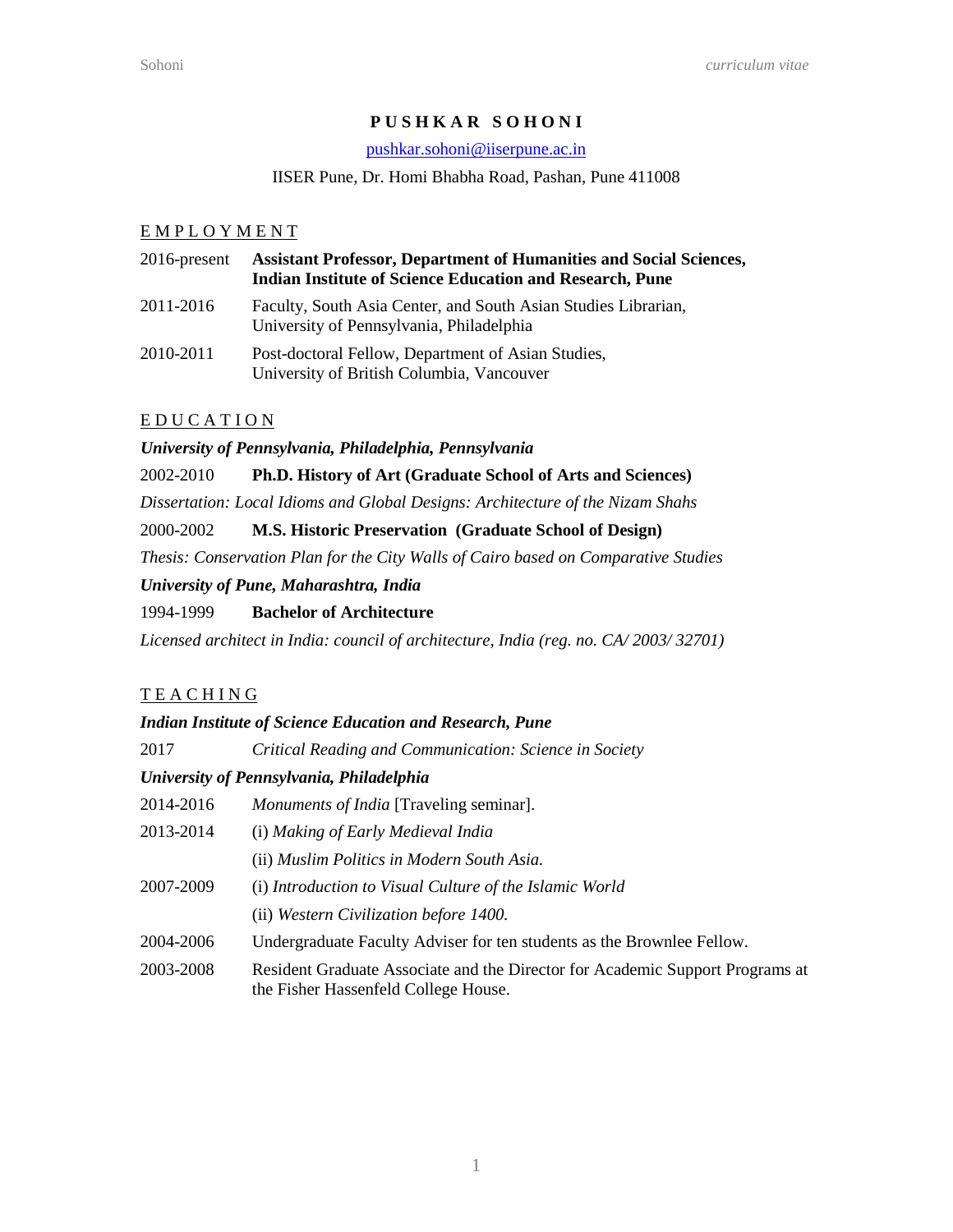## **P U S H K A R S O H O N I**

#### [pushkar.sohoni@iiserpune.ac.in](mailto:psohoni@gmail.com)

#### IISER Pune, Dr. Homi Bhabha Road, Pashan, Pune 411008

### E M P L O Y M E N T

| $2016$ -present | <b>Assistant Professor, Department of Humanities and Social Sciences,</b><br><b>Indian Institute of Science Education and Research, Pune</b> |
|-----------------|----------------------------------------------------------------------------------------------------------------------------------------------|
| 2011-2016       | Faculty, South Asia Center, and South Asian Studies Librarian,<br>University of Pennsylvania, Philadelphia                                   |
| 2010-2011       | Post-doctoral Fellow, Department of Asian Studies,<br>University of British Columbia, Vancouver                                              |

## E D U C A T I O N

*University of Pennsylvania, Philadelphia, Pennsylvania* 

#### 2002-2010 **Ph.D. History of Art (Graduate School of Arts and Sciences)**

*Dissertation: Local Idioms and Global Designs: Architecture of the Nizam Shahs* 

#### 2000-2002 **M.S. Historic Preservation (Graduate School of Design)**

*Thesis: Conservation Plan for the City Walls of Cairo based on Comparative Studies*

#### *University of Pune, Maharashtra, India*

### 1994-1999 **Bachelor of Architecture**

*Licensed architect in India: council of architecture, India (reg. no. CA/ 2003/ 32701)*

## **TEACHING**

#### *Indian Institute of Science Education and Research, Pune*

2017 *Critical Reading and Communication: Science in Society*

## *University of Pennsylvania, Philadelphia*

- 2014-2016 *Monuments of India* [Traveling seminar].
- 2013-2014 (i) *Making of Early Medieval India*
	- (ii) *Muslim Politics in Modern South Asia.*
- 2007-2009 (i) *Introduction to Visual Culture of the Islamic World*
	- (ii) *Western Civilization before 1400.*
- 2004-2006 Undergraduate Faculty Adviser for ten students as the Brownlee Fellow.
- 2003-2008 Resident Graduate Associate and the Director for Academic Support Programs at the Fisher Hassenfeld College House.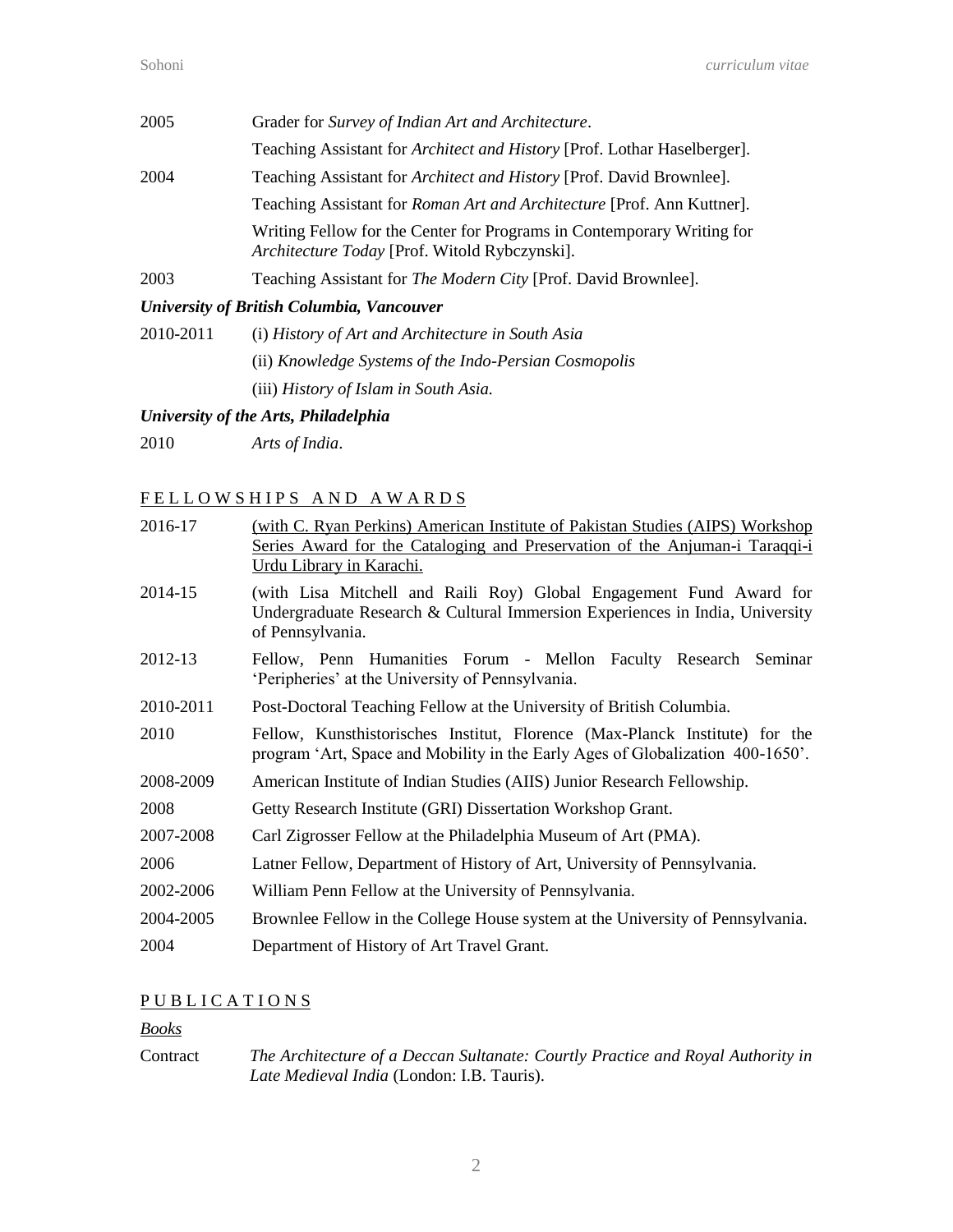| 2005 | Grader for Survey of Indian Art and Architecture.                                                                       |
|------|-------------------------------------------------------------------------------------------------------------------------|
|      | Teaching Assistant for <i>Architect and History</i> [Prof. Lothar Haselberger].                                         |
| 2004 | Teaching Assistant for <i>Architect and History</i> [Prof. David Brownlee].                                             |
|      | Teaching Assistant for Roman Art and Architecture [Prof. Ann Kuttner].                                                  |
|      | Writing Fellow for the Center for Programs in Contemporary Writing for<br>Architecture Today [Prof. Witold Rybczynski]. |
| 2003 | Teaching Assistant for The Modern City [Prof. David Brownlee].                                                          |

## *University of British Columbia, Vancouver*

| 2010-2011 | (i) History of Art and Architecture in South Asia     |
|-----------|-------------------------------------------------------|
|           | (ii) Knowledge Systems of the Indo-Persian Cosmopolis |
|           | (iii) History of Islam in South Asia.                 |

# *University of the Arts, Philadelphia*

2010 *Arts of India*.

# FELLOWSHIPS AND AWARDS

| 2016-17   | (with C. Ryan Perkins) American Institute of Pakistan Studies (AIPS) Workshop<br>Series Award for the Cataloging and Preservation of the Anjuman-i Taraqqi-i<br>Urdu Library in Karachi. |
|-----------|------------------------------------------------------------------------------------------------------------------------------------------------------------------------------------------|
| 2014-15   | (with Lisa Mitchell and Raili Roy) Global Engagement Fund Award for<br>Undergraduate Research & Cultural Immersion Experiences in India, University<br>of Pennsylvania.                  |
| 2012-13   | Fellow, Penn Humanities Forum - Mellon Faculty Research Seminar<br>'Peripheries' at the University of Pennsylvania.                                                                      |
| 2010-2011 | Post-Doctoral Teaching Fellow at the University of British Columbia.                                                                                                                     |
| 2010      | Fellow, Kunsthistorisches Institut, Florence (Max-Planck Institute) for the<br>program 'Art, Space and Mobility in the Early Ages of Globalization 400-1650'.                            |
| 2008-2009 | American Institute of Indian Studies (AIIS) Junior Research Fellowship.                                                                                                                  |
| 2008      | Getty Research Institute (GRI) Dissertation Workshop Grant.                                                                                                                              |
| 2007-2008 | Carl Zigrosser Fellow at the Philadelphia Museum of Art (PMA).                                                                                                                           |
| 2006      | Latner Fellow, Department of History of Art, University of Pennsylvania.                                                                                                                 |
| 2002-2006 | William Penn Fellow at the University of Pennsylvania.                                                                                                                                   |
| 2004-2005 | Brownlee Fellow in the College House system at the University of Pennsylvania.                                                                                                           |
| 2004      | Department of History of Art Travel Grant.                                                                                                                                               |

# PUBLICATIONS

## *Books*

Contract *The Architecture of a Deccan Sultanate: Courtly Practice and Royal Authority in Late Medieval India* (London: I.B. Tauris).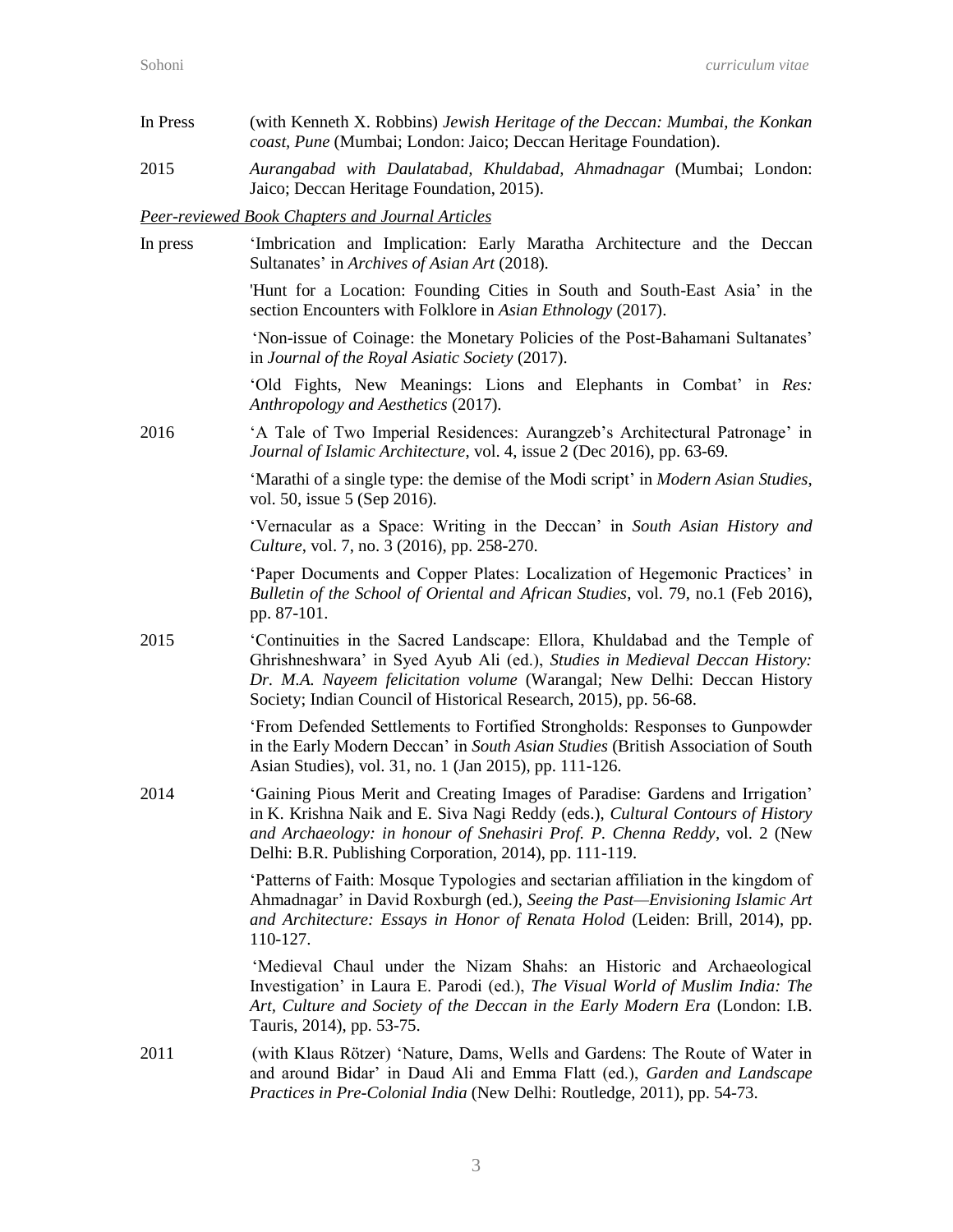| In Press | (with Kenneth X. Robbins) Jewish Heritage of the Deccan: Mumbai, the Konkan<br>coast, Pune (Mumbai; London: Jaico; Deccan Heritage Foundation).                                                                                                                                                            |
|----------|------------------------------------------------------------------------------------------------------------------------------------------------------------------------------------------------------------------------------------------------------------------------------------------------------------|
| 2015     | Aurangabad with Daulatabad, Khuldabad, Ahmadnagar (Mumbai; London:<br>Jaico; Deccan Heritage Foundation, 2015).                                                                                                                                                                                            |
|          | Peer-reviewed Book Chapters and Journal Articles                                                                                                                                                                                                                                                           |
| In press | 'Imbrication and Implication: Early Maratha Architecture and the Deccan<br>Sultanates' in Archives of Asian Art (2018).                                                                                                                                                                                    |
|          | 'Hunt for a Location: Founding Cities in South and South-East Asia' in the<br>section Encounters with Folklore in Asian Ethnology (2017).                                                                                                                                                                  |
|          | 'Non-issue of Coinage: the Monetary Policies of the Post-Bahamani Sultanates'<br>in Journal of the Royal Asiatic Society (2017).                                                                                                                                                                           |
|          | 'Old Fights, New Meanings: Lions and Elephants in Combat' in Res:<br>Anthropology and Aesthetics (2017).                                                                                                                                                                                                   |
| 2016     | 'A Tale of Two Imperial Residences: Aurangzeb's Architectural Patronage' in<br>Journal of Islamic Architecture, vol. 4, issue 2 (Dec 2016), pp. 63-69.                                                                                                                                                     |
|          | 'Marathi of a single type: the demise of the Modi script' in <i>Modern Asian Studies</i> ,<br>vol. 50, issue 5 (Sep 2016).                                                                                                                                                                                 |
|          | 'Vernacular as a Space: Writing in the Deccan' in South Asian History and<br>Culture, vol. 7, no. 3 (2016), pp. 258-270.                                                                                                                                                                                   |
|          | 'Paper Documents and Copper Plates: Localization of Hegemonic Practices' in<br>Bulletin of the School of Oriental and African Studies, vol. 79, no.1 (Feb 2016),<br>pp. 87-101.                                                                                                                            |
| 2015     | 'Continuities in the Sacred Landscape: Ellora, Khuldabad and the Temple of<br>Ghrishneshwara' in Syed Ayub Ali (ed.), Studies in Medieval Deccan History:<br>Dr. M.A. Nayeem felicitation volume (Warangal; New Delhi: Deccan History<br>Society; Indian Council of Historical Research, 2015), pp. 56-68. |
|          | 'From Defended Settlements to Fortified Strongholds: Responses to Gunpowder<br>in the Early Modern Deccan' in South Asian Studies (British Association of South<br>Asian Studies), vol. 31, no. 1 (Jan 2015), pp. 111-126.                                                                                 |
| 2014     | 'Gaining Pious Merit and Creating Images of Paradise: Gardens and Irrigation'<br>in K. Krishna Naik and E. Siva Nagi Reddy (eds.), Cultural Contours of History<br>and Archaeology: in honour of Snehasiri Prof. P. Chenna Reddy, vol. 2 (New<br>Delhi: B.R. Publishing Corporation, 2014), pp. 111-119.   |
|          | Patterns of Faith: Mosque Typologies and sectarian affiliation in the kingdom of<br>Ahmadnagar' in David Roxburgh (ed.), Seeing the Past—Envisioning Islamic Art<br>and Architecture: Essays in Honor of Renata Holod (Leiden: Brill, 2014), pp.<br>110-127.                                               |
|          | 'Medieval Chaul under the Nizam Shahs: an Historic and Archaeological<br>Investigation' in Laura E. Parodi (ed.), The Visual World of Muslim India: The<br>Art, Culture and Society of the Deccan in the Early Modern Era (London: I.B.<br>Tauris, 2014), pp. 53-75.                                       |
| 2011     | (with Klaus Rötzer) 'Nature, Dams, Wells and Gardens: The Route of Water in<br>and around Bidar' in Daud Ali and Emma Flatt (ed.), Garden and Landscape<br>Practices in Pre-Colonial India (New Delhi: Routledge, 2011), pp. 54-73.                                                                        |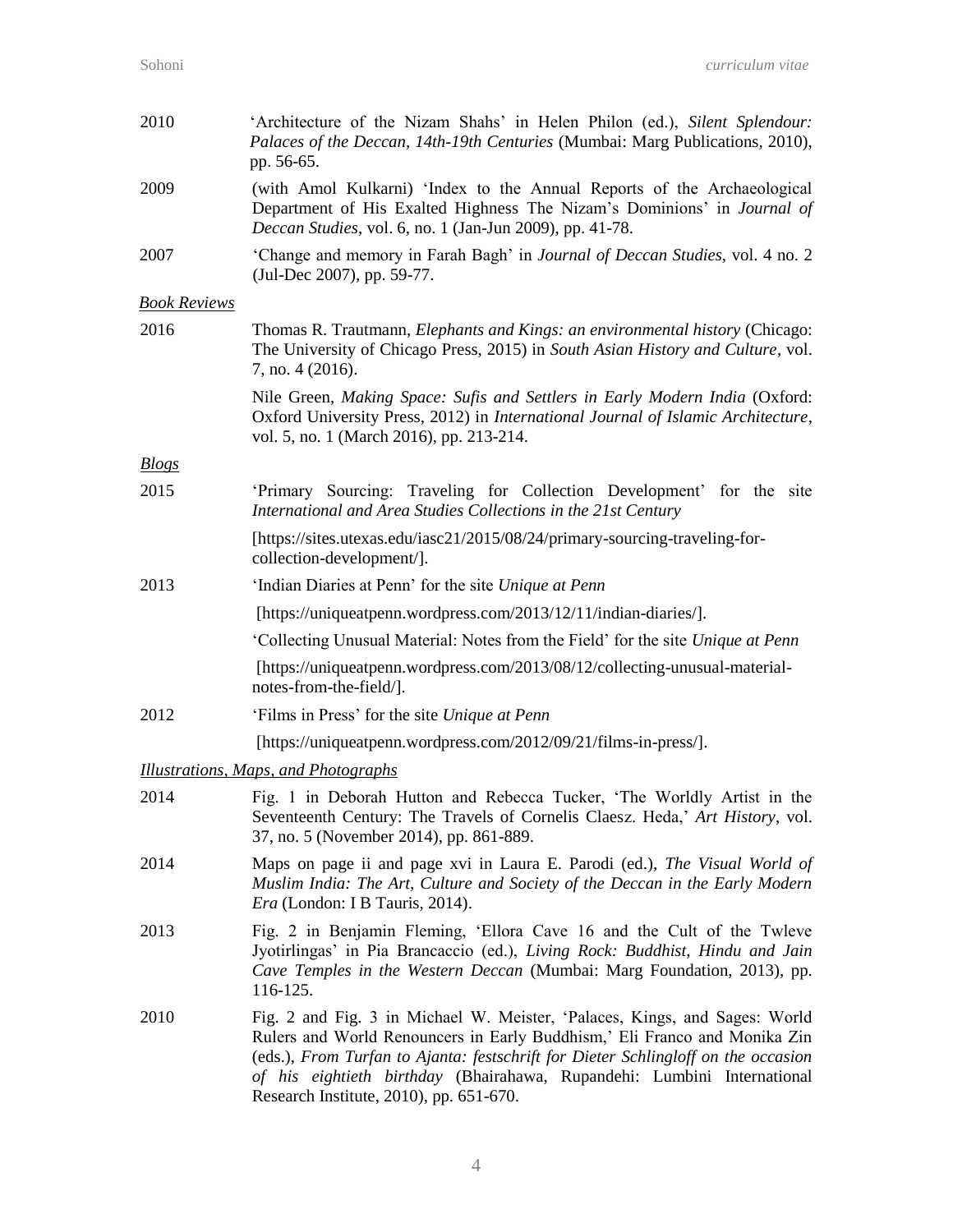| 2010                | 'Architecture of the Nizam Shahs' in Helen Philon (ed.), Silent Splendour:<br>Palaces of the Deccan, 14th-19th Centuries (Mumbai: Marg Publications, 2010),<br>pp. 56-65.                                                                                                                                                                                          |
|---------------------|--------------------------------------------------------------------------------------------------------------------------------------------------------------------------------------------------------------------------------------------------------------------------------------------------------------------------------------------------------------------|
| 2009                | (with Amol Kulkarni) 'Index to the Annual Reports of the Archaeological<br>Department of His Exalted Highness The Nizam's Dominions' in Journal of<br>Deccan Studies, vol. 6, no. 1 (Jan-Jun 2009), pp. 41-78.                                                                                                                                                     |
| 2007                | 'Change and memory in Farah Bagh' in Journal of Deccan Studies, vol. 4 no. 2<br>(Jul-Dec 2007), pp. 59-77.                                                                                                                                                                                                                                                         |
| <b>Book Reviews</b> |                                                                                                                                                                                                                                                                                                                                                                    |
| 2016                | Thomas R. Trautmann, <i>Elephants and Kings: an environmental history</i> (Chicago:<br>The University of Chicago Press, 2015) in South Asian History and Culture, vol.<br>7, no. 4 (2016).                                                                                                                                                                         |
|                     | Nile Green, Making Space: Sufis and Settlers in Early Modern India (Oxford:<br>Oxford University Press, 2012) in International Journal of Islamic Architecture,<br>vol. 5, no. 1 (March 2016), pp. 213-214.                                                                                                                                                        |
| <b>Blogs</b>        |                                                                                                                                                                                                                                                                                                                                                                    |
| 2015                | 'Primary Sourcing: Traveling for Collection Development' for the site<br>International and Area Studies Collections in the 21st Century                                                                                                                                                                                                                            |
|                     | [https://sites.utexas.edu/iasc21/2015/08/24/primary-sourcing-traveling-for-<br>collection-development/].                                                                                                                                                                                                                                                           |
| 2013                | 'Indian Diaries at Penn' for the site Unique at Penn                                                                                                                                                                                                                                                                                                               |
|                     | [https://uniqueatpenn.wordpress.com/2013/12/11/indian-diaries/].                                                                                                                                                                                                                                                                                                   |
|                     | 'Collecting Unusual Material: Notes from the Field' for the site Unique at Penn                                                                                                                                                                                                                                                                                    |
|                     | [https://uniqueatpenn.wordpress.com/2013/08/12/collecting-unusual-material-<br>notes-from-the-field/].                                                                                                                                                                                                                                                             |
| 2012                | 'Films in Press' for the site Unique at Penn                                                                                                                                                                                                                                                                                                                       |
|                     | [https://uniqueatpenn.wordpress.com/2012/09/21/films-in-press/].                                                                                                                                                                                                                                                                                                   |
|                     | Illustrations, Maps, and Photographs                                                                                                                                                                                                                                                                                                                               |
| 2014                | Fig. 1 in Deborah Hutton and Rebecca Tucker, 'The Worldly Artist in the<br>Seventeenth Century: The Travels of Cornelis Claesz. Heda,' Art History, vol.<br>37, no. 5 (November 2014), pp. 861-889.                                                                                                                                                                |
| 2014                | Maps on page ii and page xvi in Laura E. Parodi (ed.), The Visual World of<br>Muslim India: The Art, Culture and Society of the Deccan in the Early Modern<br><i>Era</i> (London: I B Tauris, 2014).                                                                                                                                                               |
| 2013                | Fig. 2 in Benjamin Fleming, 'Ellora Cave 16 and the Cult of the Twleve<br>Jyotirlingas' in Pia Brancaccio (ed.), Living Rock: Buddhist, Hindu and Jain<br>Cave Temples in the Western Deccan (Mumbai: Marg Foundation, 2013), pp.<br>116-125.                                                                                                                      |
| 2010                | Fig. 2 and Fig. 3 in Michael W. Meister, 'Palaces, Kings, and Sages: World<br>Rulers and World Renouncers in Early Buddhism,' Eli Franco and Monika Zin<br>(eds.), From Turfan to Ajanta: festschrift for Dieter Schlingloff on the occasion<br>of his eightieth birthday (Bhairahawa, Rupandehi: Lumbini International<br>Research Institute, 2010), pp. 651-670. |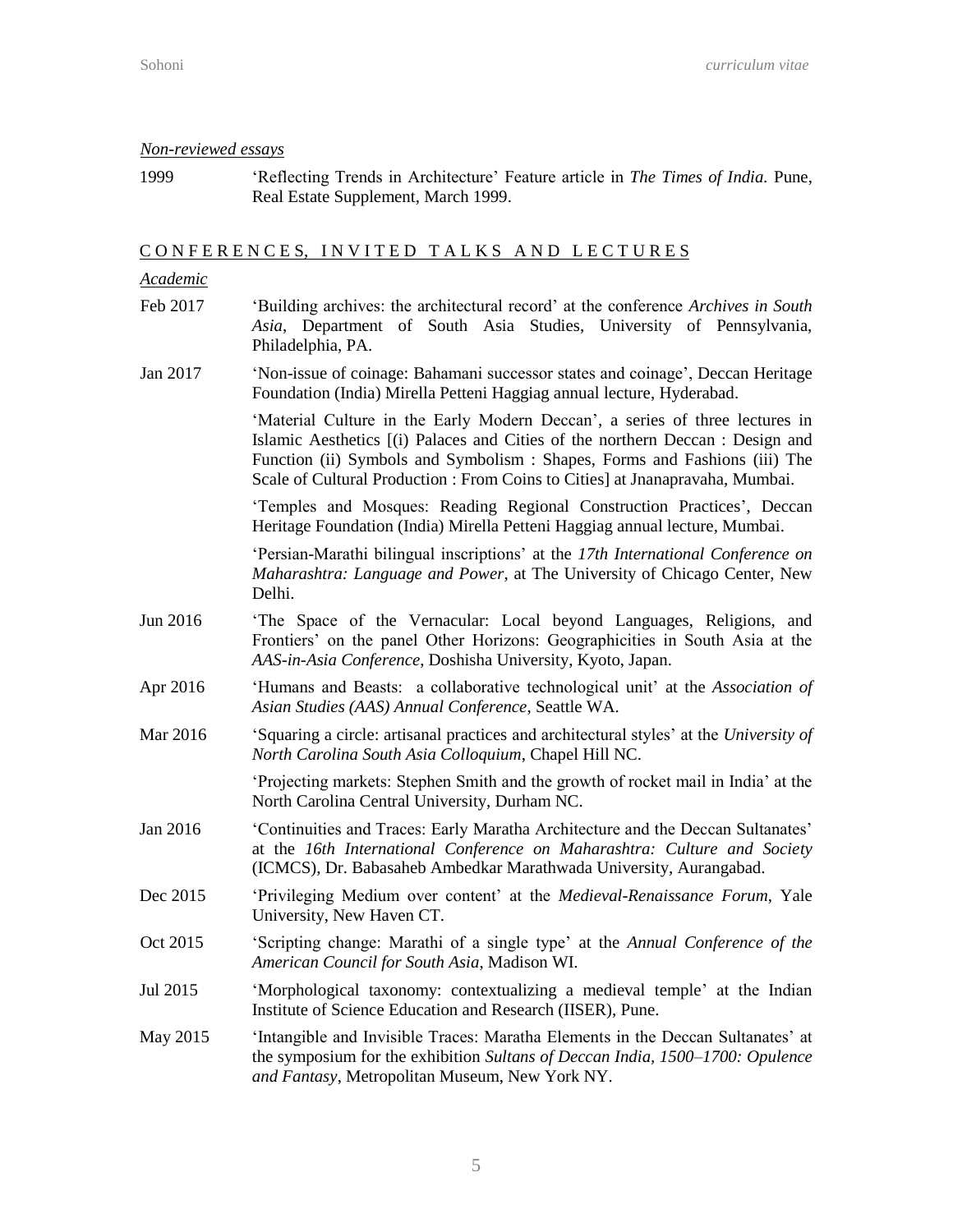#### *Non-reviewed essays*

1999 'Reflecting Trends in Architecture' Feature article in *The Times of India.* Pune, Real Estate Supplement, March 1999.

### CONFERENCES, INVITED TALKS AND LECTURES

#### *Academic*

- Feb 2017 'Building archives: the architectural record' at the conference *Archives in South Asia*, Department of South Asia Studies, University of Pennsylvania, Philadelphia, PA.
- Jan 2017 'Non-issue of coinage: Bahamani successor states and coinage', Deccan Heritage Foundation (India) Mirella Petteni Haggiag annual lecture, Hyderabad.

'Material Culture in the Early Modern Deccan', a series of three lectures in Islamic Aesthetics [(i) Palaces and Cities of the northern Deccan : Design and Function (ii) Symbols and Symbolism : Shapes, Forms and Fashions (iii) The Scale of Cultural Production : From Coins to Cities] at Jnanapravaha, Mumbai.

'Temples and Mosques: Reading Regional Construction Practices', Deccan Heritage Foundation (India) Mirella Petteni Haggiag annual lecture, Mumbai.

'Persian-Marathi bilingual inscriptions' at the *17th International Conference on Maharashtra: Language and Power*, at The University of Chicago Center, New Delhi.

- Jun 2016 'The Space of the Vernacular: Local beyond Languages, Religions, and Frontiers' on the panel Other Horizons: Geographicities in South Asia at the *AAS-in-Asia Conference*, Doshisha University, Kyoto, Japan.
- Apr 2016 'Humans and Beasts: a collaborative technological unit' at the *Association of Asian Studies (AAS) Annual Conference*, Seattle WA.
- Mar 2016 'Squaring a circle: artisanal practices and architectural styles' at the *University of North Carolina South Asia Colloquium*, Chapel Hill NC.

'Projecting markets: Stephen Smith and the growth of rocket mail in India' at the North Carolina Central University, Durham NC.

- Jan 2016 'Continuities and Traces: Early Maratha Architecture and the Deccan Sultanates' at the *16th International Conference on Maharashtra: Culture and Society* (ICMCS), Dr. Babasaheb Ambedkar Marathwada University, Aurangabad.
- Dec 2015 'Privileging Medium over content' at the *Medieval-Renaissance Forum*, Yale University, New Haven CT.
- Oct 2015 'Scripting change: Marathi of a single type' at the *Annual Conference of the American Council for South Asia*, Madison WI.
- Jul 2015 'Morphological taxonomy: contextualizing a medieval temple' at the Indian Institute of Science Education and Research (IISER), Pune.
- May 2015 'Intangible and Invisible Traces: Maratha Elements in the Deccan Sultanates' at the symposium for the exhibition *Sultans of Deccan India, 1500–1700: Opulence and Fantasy*, Metropolitan Museum, New York NY.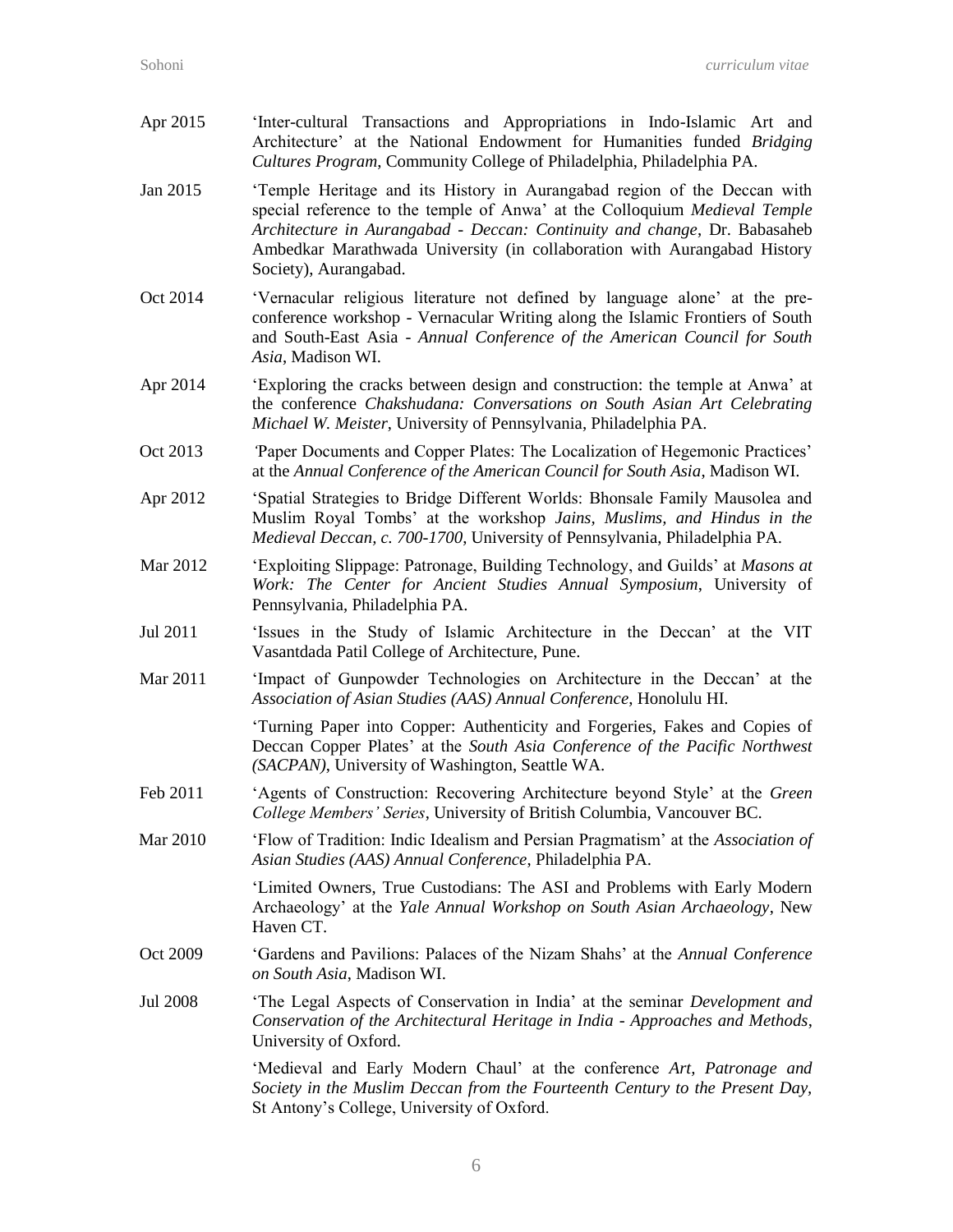Apr 2015 'Inter-cultural Transactions and Appropriations in Indo-Islamic Art and Architecture' at the National Endowment for Humanities funded *Bridging Cultures Program*, Community College of Philadelphia, Philadelphia PA. Jan 2015 'Temple Heritage and its History in Aurangabad region of the Deccan with special reference to the temple of Anwa' at the Colloquium *Medieval Temple Architecture in Aurangabad - Deccan: Continuity and change*, Dr. Babasaheb Ambedkar Marathwada University (in collaboration with Aurangabad History Society), Aurangabad. Oct 2014 'Vernacular religious literature not defined by language alone' at the preconference workshop - Vernacular Writing along the Islamic Frontiers of South and South-East Asia - *Annual Conference of the American Council for South Asia*, Madison WI. Apr 2014 'Exploring the cracks between design and construction: the temple at Anwa' at the conference *Chakshudana: Conversations on South Asian Art Celebrating Michael W. Meister*, University of Pennsylvania, Philadelphia PA. Oct 2013 *'*Paper Documents and Copper Plates: The Localization of Hegemonic Practices' at the *Annual Conference of the American Council for South Asia*, Madison WI. Apr 2012 'Spatial Strategies to Bridge Different Worlds: Bhonsale Family Mausolea and Muslim Royal Tombs' at the workshop *Jains, Muslims, and Hindus in the Medieval Deccan, c. 700-1700*, University of Pennsylvania, Philadelphia PA. Mar 2012 'Exploiting Slippage: Patronage, Building Technology, and Guilds' at *Masons at Work: The Center for Ancient Studies Annual Symposium*, University of Pennsylvania, Philadelphia PA. Jul 2011 'Issues in the Study of Islamic Architecture in the Deccan' at the VIT Vasantdada Patil College of Architecture, Pune. Mar 2011 'Impact of Gunpowder Technologies on Architecture in the Deccan' at the *Association of Asian Studies (AAS) Annual Conference*, Honolulu HI. 'Turning Paper into Copper: Authenticity and Forgeries, Fakes and Copies of Deccan Copper Plates' at the *South Asia Conference of the Pacific Northwest (SACPAN)*, University of Washington, Seattle WA. Feb 2011 'Agents of Construction: Recovering Architecture beyond Style' at the *Green College Members' Series*, University of British Columbia, Vancouver BC. Mar 2010 'Flow of Tradition: Indic Idealism and Persian Pragmatism' at the *Association of Asian Studies (AAS) Annual Conference*, Philadelphia PA. 'Limited Owners, True Custodians: The ASI and Problems with Early Modern Archaeology' at the *Yale Annual Workshop on South Asian Archaeology*, New Haven CT. Oct 2009 'Gardens and Pavilions: Palaces of the Nizam Shahs' at the *Annual Conference on South Asia*, Madison WI. Jul 2008 'The Legal Aspects of Conservation in India' at the seminar *Development and Conservation of the Architectural Heritage in India - Approaches and Methods*, University of Oxford. 'Medieval and Early Modern Chaul' at the conference *Art, Patronage and Society in the Muslim Deccan from the Fourteenth Century to the Present Day,*

6

St Antony's College, University of Oxford.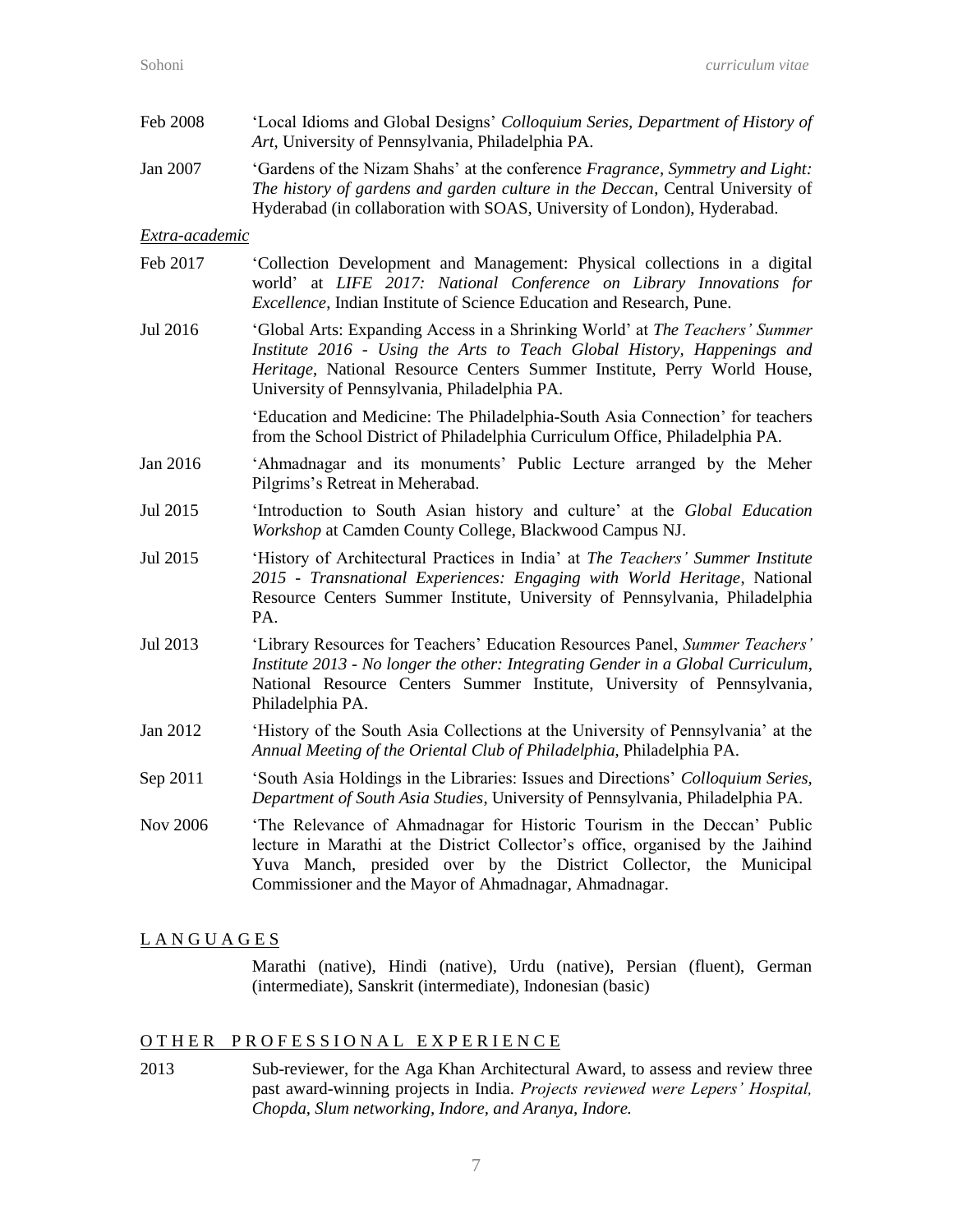| Feb 2008       | 'Local Idioms and Global Designs' Colloquium Series, Department of History of<br>Art, University of Pennsylvania, Philadelphia PA.                                                                                                                                                        |
|----------------|-------------------------------------------------------------------------------------------------------------------------------------------------------------------------------------------------------------------------------------------------------------------------------------------|
| Jan 2007       | 'Gardens of the Nizam Shahs' at the conference Fragrance, Symmetry and Light:<br>The history of gardens and garden culture in the Deccan, Central University of<br>Hyderabad (in collaboration with SOAS, University of London), Hyderabad.                                               |
| Extra-academic |                                                                                                                                                                                                                                                                                           |
| Feb 2017       | 'Collection Development and Management: Physical collections in a digital<br>world' at LIFE 2017: National Conference on Library Innovations for<br><i>Excellence</i> , Indian Institute of Science Education and Research, Pune.                                                         |
| Jul 2016       | 'Global Arts: Expanding Access in a Shrinking World' at The Teachers' Summer<br>Institute 2016 - Using the Arts to Teach Global History, Happenings and<br>Heritage, National Resource Centers Summer Institute, Perry World House,<br>University of Pennsylvania, Philadelphia PA.       |
|                | 'Education and Medicine: The Philadelphia-South Asia Connection' for teachers<br>from the School District of Philadelphia Curriculum Office, Philadelphia PA.                                                                                                                             |
| Jan 2016       | 'Ahmadnagar and its monuments' Public Lecture arranged by the Meher<br>Pilgrims's Retreat in Meherabad.                                                                                                                                                                                   |
| Jul 2015       | 'Introduction to South Asian history and culture' at the Global Education<br>Workshop at Camden County College, Blackwood Campus NJ.                                                                                                                                                      |
| Jul 2015       | 'History of Architectural Practices in India' at The Teachers' Summer Institute<br>2015 - Transnational Experiences: Engaging with World Heritage, National<br>Resource Centers Summer Institute, University of Pennsylvania, Philadelphia<br>PA.                                         |
| Jul 2013       | 'Library Resources for Teachers' Education Resources Panel, Summer Teachers'<br>Institute 2013 - No longer the other: Integrating Gender in a Global Curriculum,<br>National Resource Centers Summer Institute, University of Pennsylvania,<br>Philadelphia PA.                           |
| Jan 2012       | 'History of the South Asia Collections at the University of Pennsylvania' at the<br>Annual Meeting of the Oriental Club of Philadelphia, Philadelphia PA.                                                                                                                                 |
| Sep 2011       | 'South Asia Holdings in the Libraries: Issues and Directions' Colloquium Series,<br>Department of South Asia Studies, University of Pennsylvania, Philadelphia PA.                                                                                                                        |
| Nov 2006       | 'The Relevance of Ahmadnagar for Historic Tourism in the Deccan' Public<br>lecture in Marathi at the District Collector's office, organised by the Jaihind<br>Yuva Manch, presided over by the District Collector, the Municipal<br>Commissioner and the Mayor of Ahmadnagar, Ahmadnagar. |

#### L A N G U A G E S

Marathi (native), Hindi (native), Urdu (native), Persian (fluent), German (intermediate), Sanskrit (intermediate), Indonesian (basic)

## OTHER PROFESSIONAL EXPERIENCE

2013 Sub-reviewer, for the Aga Khan Architectural Award, to assess and review three past award-winning projects in India. *Projects reviewed were Lepers' Hospital, Chopda, Slum networking, Indore, and Aranya, Indore.*